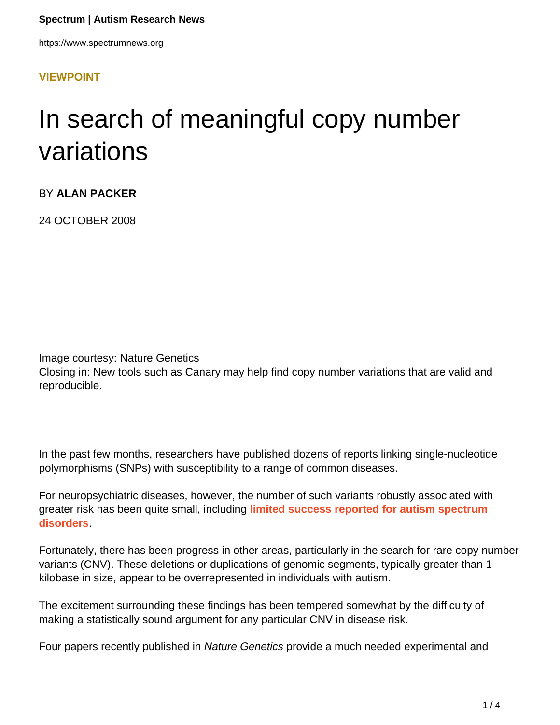https://www.spectrumnews.org

#### **[VIEWPOINT](HTTPS://WWW.SPECTRUMNEWS.ORG/OPINION/VIEWPOINT/)**

# In search of meaningful copy number variations

BY **ALAN PACKER**

24 OCTOBER 2008

Image courtesy: Nature Genetics

Closing in: New tools such as Canary may help find copy number variations that are valid and reproducible.

In the past few months, researchers have published dozens of reports linking single-nucleotide polymorphisms (SNPs) with susceptibility to a range of common diseases.

For neuropsychiatric diseases, however, the number of such variants robustly associated with greater risk has been quite small, including **[limited success reported for autism spectrum](https://www.spectrumnews.org/news/2008/the-case-for-copy-number-variations-in-autism) [disorders](https://www.spectrumnews.org/news/2008/the-case-for-copy-number-variations-in-autism)**.

Fortunately, there has been progress in other areas, particularly in the search for rare copy number variants (CNV). These deletions or duplications of genomic segments, typically greater than 1 kilobase in size, appear to be overrepresented in individuals with autism.

The excitement surrounding these findings has been tempered somewhat by the difficulty of making a statistically sound argument for any particular CNV in disease risk.

Four papers recently published in Nature Genetics provide a much needed experimental and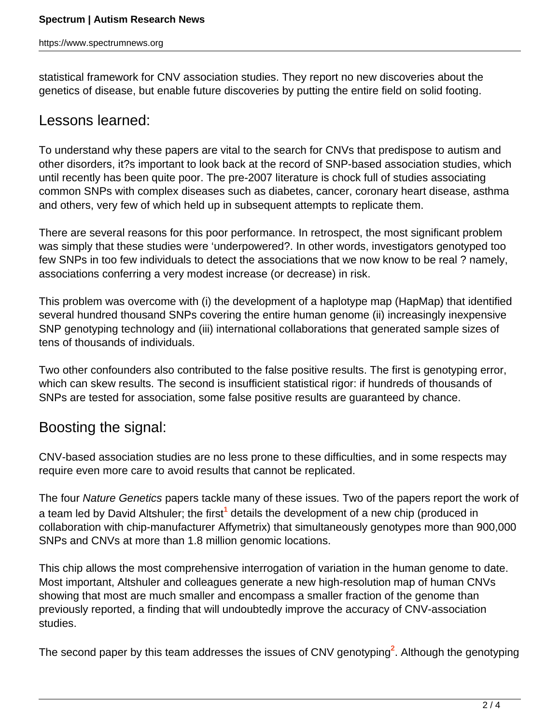statistical framework for CNV association studies. They report no new discoveries about the genetics of disease, but enable future discoveries by putting the entire field on solid footing.

#### Lessons learned:

To understand why these papers are vital to the search for CNVs that predispose to autism and other disorders, it?s important to look back at the record of SNP-based association studies, which until recently has been quite poor. The pre-2007 literature is chock full of studies associating common SNPs with complex diseases such as diabetes, cancer, coronary heart disease, asthma and others, very few of which held up in subsequent attempts to replicate them.

There are several reasons for this poor performance. In retrospect, the most significant problem was simply that these studies were 'underpowered?. In other words, investigators genotyped too few SNPs in too few individuals to detect the associations that we now know to be real ? namely, associations conferring a very modest increase (or decrease) in risk.

This problem was overcome with (i) the development of a haplotype map (HapMap) that identified several hundred thousand SNPs covering the entire human genome (ii) increasingly inexpensive SNP genotyping technology and (iii) international collaborations that generated sample sizes of tens of thousands of individuals.

Two other confounders also contributed to the false positive results. The first is genotyping error, which can skew results. The second is insufficient statistical rigor: if hundreds of thousands of SNPs are tested for association, some false positive results are guaranteed by chance.

### Boosting the signal:

CNV-based association studies are no less prone to these difficulties, and in some respects may require even more care to avoid results that cannot be replicated.

The four Nature Genetics papers tackle many of these issues. Two of the papers report the work of a team led by David Altshuler; the first<sup>1</sup> details the development of a new chip (produced in collaboration with chip-manufacturer Affymetrix) that simultaneously genotypes more than 900,000 SNPs and CNVs at more than 1.8 million genomic locations.

This chip allows the most comprehensive interrogation of variation in the human genome to date. Most important, Altshuler and colleagues generate a new high-resolution map of human CNVs showing that most are much smaller and encompass a smaller fraction of the genome than previously reported, a finding that will undoubtedly improve the accuracy of CNV-association studies.

The second paper by this team addresses the issues of CNV genotyping**<sup>2</sup>** . Although the genotyping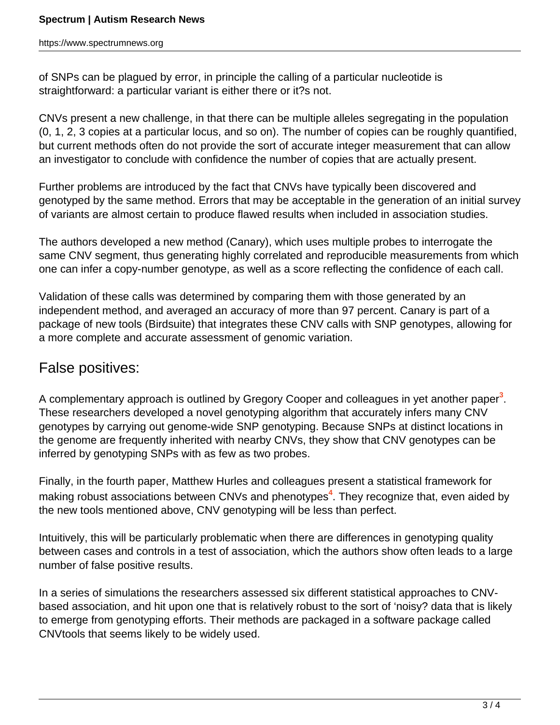of SNPs can be plagued by error, in principle the calling of a particular nucleotide is straightforward: a particular variant is either there or it?s not.

CNVs present a new challenge, in that there can be multiple alleles segregating in the population (0, 1, 2, 3 copies at a particular locus, and so on). The number of copies can be roughly quantified, but current methods often do not provide the sort of accurate integer measurement that can allow an investigator to conclude with confidence the number of copies that are actually present.

Further problems are introduced by the fact that CNVs have typically been discovered and genotyped by the same method. Errors that may be acceptable in the generation of an initial survey of variants are almost certain to produce flawed results when included in association studies.

The authors developed a new method (Canary), which uses multiple probes to interrogate the same CNV segment, thus generating highly correlated and reproducible measurements from which one can infer a copy-number genotype, as well as a score reflecting the confidence of each call.

Validation of these calls was determined by comparing them with those generated by an independent method, and averaged an accuracy of more than 97 percent. Canary is part of a package of new tools (Birdsuite) that integrates these CNV calls with SNP genotypes, allowing for a more complete and accurate assessment of genomic variation.

## False positives:

A complementary approach is outlined by Gregory Cooper and colleagues in yet another paper**<sup>3</sup>** . These researchers developed a novel genotyping algorithm that accurately infers many CNV genotypes by carrying out genome-wide SNP genotyping. Because SNPs at distinct locations in the genome are frequently inherited with nearby CNVs, they show that CNV genotypes can be inferred by genotyping SNPs with as few as two probes.

Finally, in the fourth paper, Matthew Hurles and colleagues present a statistical framework for making robust associations between CNVs and phenotypes**<sup>4</sup>** . They recognize that, even aided by the new tools mentioned above, CNV genotyping will be less than perfect.

Intuitively, this will be particularly problematic when there are differences in genotyping quality between cases and controls in a test of association, which the authors show often leads to a large number of false positive results.

In a series of simulations the researchers assessed six different statistical approaches to CNVbased association, and hit upon one that is relatively robust to the sort of 'noisy? data that is likely to emerge from genotyping efforts. Their methods are packaged in a software package called CNVtools that seems likely to be widely used.